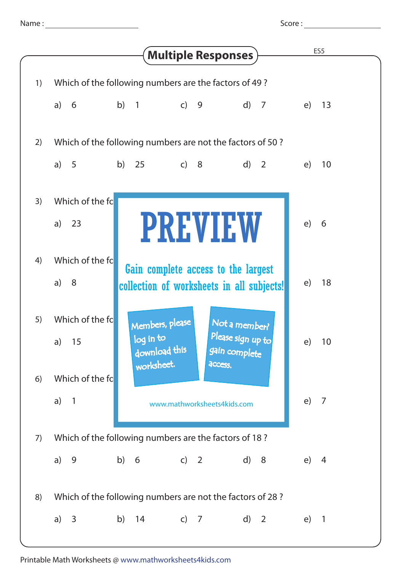| Name |  |  |
|------|--|--|
|      |  |  |
|      |  |  |

Score : \_\_\_\_\_